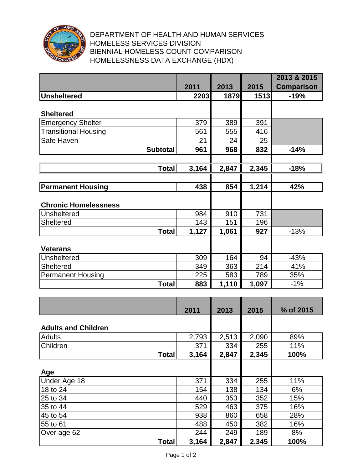

## DEPARTMENT OF HEALTH AND HUMAN SERVICES HOMELESS SERVICES DIVISION BIENNIAL HOMELESS COUNT COMPARISON HOMELESSNESS DATA EXCHANGE (HDX)

|                             |       |       |       | 2013 & 2015       |
|-----------------------------|-------|-------|-------|-------------------|
|                             | 2011  | 2013  | 2015  | <b>Comparison</b> |
| <b>Unsheltered</b>          | 2203  | 1879  | 1513  | $-19%$            |
|                             |       |       |       |                   |
| <b>Sheltered</b>            |       |       |       |                   |
| <b>Emergency Shelter</b>    | 379   | 389   | 391   |                   |
| <b>Transitional Housing</b> | 561   | 555   | 416   |                   |
| Safe Haven                  | 21    | 24    | 25    |                   |
| <b>Subtotal</b>             | 961   | 968   | 832   | $-14%$            |
|                             |       |       |       |                   |
| <b>Total</b>                | 3,164 | 2,847 | 2,345 | $-18%$            |
|                             |       |       |       |                   |
| <b>Permanent Housing</b>    | 438   | 854   | 1,214 | 42%               |
|                             |       |       |       |                   |
| <b>Chronic Homelessness</b> |       |       |       |                   |
| Unsheltered                 | 984   | 910   | 731   |                   |
| <b>Sheltered</b>            | 143   | 151   | 196   |                   |
| <b>Total</b>                | 1,127 | 1,061 | 927   | $-13%$            |
|                             |       |       |       |                   |
| <b>Veterans</b>             |       |       |       |                   |
| <b>Unsheltered</b>          | 309   | 164   | 94    | $-43%$            |
| <b>Sheltered</b>            | 349   | 363   | 214   | $-41%$            |
| <b>Permanent Housing</b>    | 225   | 583   | 789   | 35%               |
| <b>Total</b>                | 883   | 1,110 | 1,097 | $-1%$             |
|                             |       |       |       |                   |
|                             |       |       |       |                   |
|                             | 2011  | 2013  | 2015  | % of 2015         |
|                             |       |       |       |                   |
| <b>Adults and Children</b>  |       |       |       |                   |
| <b>Adults</b>               | 2,793 | 2,513 | 2,090 | 89%               |
| Children                    | 371   | 334   | 255   | 11%               |
| <b>Total</b>                | 3,164 | 2,847 | 2,345 | 100%              |
|                             |       |       |       |                   |
| Age                         |       |       |       |                   |
| Under Age 18                | 371   | 334   | 255   | 11%               |
| 18 to 24                    | 154   | 138   | 134   | 6%                |
| 25 to 34                    | 440   | 353   | 352   | 15%               |
| 35 to 44                    | 529   | 463   | 375   | 16%               |
| 45 to 54                    | 938   | 860   | 658   | 28%               |
| 55 to 61                    | 488   | 450   | 382   | 16%               |
| Over age 62                 | 244   | 249   | 189   | 8%                |
| <b>Total</b>                | 3,164 | 2,847 | 2,345 | 100%              |